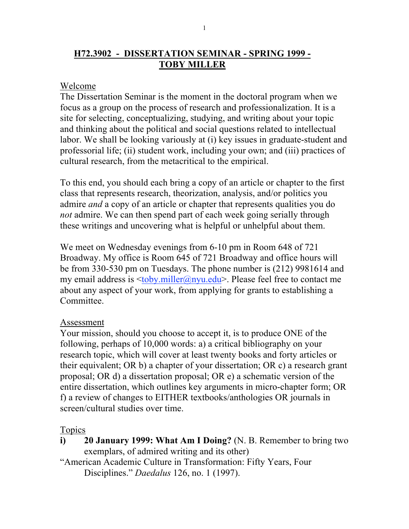# **H72.3902 - DISSERTATION SEMINAR - SPRING 1999 - TOBY MILLER**

## Welcome

The Dissertation Seminar is the moment in the doctoral program when we focus as a group on the process of research and professionalization. It is a site for selecting, conceptualizing, studying, and writing about your topic and thinking about the political and social questions related to intellectual labor. We shall be looking variously at (i) key issues in graduate-student and professorial life; (ii) student work, including your own; and (iii) practices of cultural research, from the metacritical to the empirical.

To this end, you should each bring a copy of an article or chapter to the first class that represents research, theorization, analysis, and/or politics you admire *and* a copy of an article or chapter that represents qualities you do *not* admire. We can then spend part of each week going serially through these writings and uncovering what is helpful or unhelpful about them.

We meet on Wednesday evenings from 6-10 pm in Room 648 of 721 Broadway. My office is Room 645 of 721 Broadway and office hours will be from 330-530 pm on Tuesdays. The phone number is (212) 9981614 and my email address is **.miller@nyu.edu** $>$ **. Please feel free to contact me** about any aspect of your work, from applying for grants to establishing a Committee.

#### Assessment

Your mission, should you choose to accept it, is to produce ONE of the following, perhaps of 10,000 words: a) a critical bibliography on your research topic, which will cover at least twenty books and forty articles or their equivalent; OR b) a chapter of your dissertation; OR c) a research grant proposal; OR d) a dissertation proposal; OR e) a schematic version of the entire dissertation, which outlines key arguments in micro-chapter form; OR f) a review of changes to EITHER textbooks/anthologies OR journals in screen/cultural studies over time.

#### Topics

**i) 20 January 1999: What Am I Doing?** (N. B. Remember to bring two exemplars, of admired writing and its other)

"American Academic Culture in Transformation: Fifty Years, Four Disciplines." *Daedalus* 126, no. 1 (1997).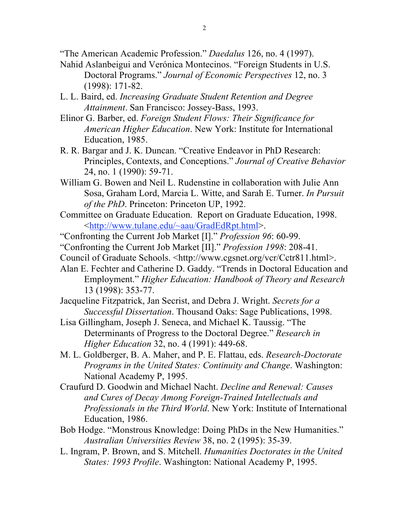"The American Academic Profession." *Daedalus* 126, no. 4 (1997).

- Nahid Aslanbeigui and Verónica Montecinos. "Foreign Students in U.S. Doctoral Programs." *Journal of Economic Perspectives* 12, no. 3 (1998): 171-82.
- L. L. Baird, ed. *Increasing Graduate Student Retention and Degree Attainment*. San Francisco: Jossey-Bass, 1993.
- Elinor G. Barber, ed. *Foreign Student Flows: Their Significance for American Higher Education*. New York: Institute for International Education, 1985.
- R. R. Bargar and J. K. Duncan. "Creative Endeavor in PhD Research: Principles, Contexts, and Conceptions." *Journal of Creative Behavior* 24, no. 1 (1990): 59-71.
- William G. Bowen and Neil L. Rudenstine in collaboration with Julie Ann Sosa, Graham Lord, Marcia L. Witte, and Sarah E. Turner. *In Pursuit of the PhD*. Princeton: Princeton UP, 1992.
- Committee on Graduate Education. Report on Graduate Education, 1998. <http://www.tulane.edu/~aau/GradEdRpt.html>.
- "Confronting the Current Job Market [I]." *Profession 96*: 60-99.
- "Confronting the Current Job Market [II]." *Profession 1998*: 208-41.
- Council of Graduate Schools. <http://www.cgsnet.org/vcr/Cctr811.html>.
- Alan E. Fechter and Catherine D. Gaddy. "Trends in Doctoral Education and Employment." *Higher Education: Handbook of Theory and Research* 13 (1998): 353-77.
- Jacqueline Fitzpatrick, Jan Secrist, and Debra J. Wright. *Secrets for a Successful Dissertation*. Thousand Oaks: Sage Publications, 1998.
- Lisa Gillingham, Joseph J. Seneca, and Michael K. Taussig. "The Determinants of Progress to the Doctoral Degree." *Research in Higher Education* 32, no. 4 (1991): 449-68.
- M. L. Goldberger, B. A. Maher, and P. E. Flattau, eds. *Research-Doctorate Programs in the United States: Continuity and Change*. Washington: National Academy P, 1995.
- Craufurd D. Goodwin and Michael Nacht. *Decline and Renewal: Causes and Cures of Decay Among Foreign-Trained Intellectuals and Professionals in the Third World*. New York: Institute of International Education, 1986.
- Bob Hodge. "Monstrous Knowledge: Doing PhDs in the New Humanities." *Australian Universities Review* 38, no. 2 (1995): 35-39.
- L. Ingram, P. Brown, and S. Mitchell. *Humanities Doctorates in the United States: 1993 Profile*. Washington: National Academy P, 1995.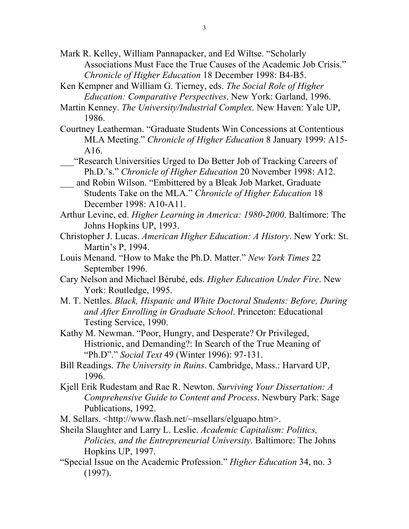- Mark R. Kelley, William Pannapacker, and Ed Wiltse. "Scholarly Associations Must Face the True Causes of the Academic Job Crisis." *Chronicle of Higher Education* 18 December 1998: B4-B5.
- Ken Kempner and William G. Tierney, eds. *The Social Role of Higher Education: Comparative Perspectives*. New York: Garland, 1996.
- Martin Kenney. *The University/Industrial Complex*. New Haven: Yale UP, 1986.
- Courtney Leatherman. "Graduate Students Win Concessions at Contentious MLA Meeting." *Chronicle of Higher Education* 8 January 1999: A15- A16.
	- \_\_\_"Research Universities Urged to Do Better Job of Tracking Careers of Ph.D.'s." *Chronicle of Higher Education* 20 November 1998: A12.
	- and Robin Wilson. "Embittered by a Bleak Job Market, Graduate Students Take on the MLA." *Chronicle of Higher Education* 18 December 1998: A10-A11.
- Arthur Levine, ed. *Higher Learning in America: 1980-2000*. Baltimore: The Johns Hopkins UP, 1993.
- Christopher J. Lucas. *American Higher Education: A History*. New York: St. Martin's P, 1994.
- Louis Menand. "How to Make the Ph.D. Matter." *New York Times* 22 September 1996.
- Cary Nelson and Michael Bérubé, eds. *Higher Education Under Fire*. New York: Routledge, 1995.
- M. T. Nettles. *Black, Hispanic and White Doctoral Students: Before, During and After Enrolling in Graduate School*. Princeton: Educational Testing Service, 1990.
- Kathy M. Newman. "Poor, Hungry, and Desperate? Or Privileged, Histrionic, and Demanding?: In Search of the True Meaning of "Ph.D"." *Social Text* 49 (Winter 1996): 97-131.
- Bill Readings. *The University in Ruins*. Cambridge, Mass.: Harvard UP, 1996.
- Kjell Erik Rudestam and Rae R. Newton. *Surviving Your Dissertation: A Comprehensive Guide to Content and Process*. Newbury Park: Sage Publications, 1992.
- M. Sellars. <http://www.flash.net/~msellars/elguapo.htm>.
- Sheila Slaughter and Larry L. Leslie. *Academic Capitalism: Politics, Policies, and the Entrepreneurial University*. Baltimore: The Johns Hopkins UP, 1997.
- "Special Issue on the Academic Profession." *Higher Education* 34, no. 3 (1997).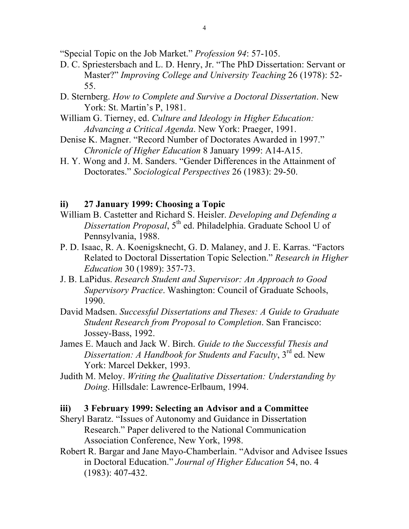"Special Topic on the Job Market." *Profession 94*: 57-105.

- D. C. Spriestersbach and L. D. Henry, Jr. "The PhD Dissertation: Servant or Master?" *Improving College and University Teaching* 26 (1978): 52- 55.
- D. Sternberg. *How to Complete and Survive a Doctoral Dissertation*. New York: St. Martin's P, 1981.
- William G. Tierney, ed. *Culture and Ideology in Higher Education: Advancing a Critical Agenda*. New York: Praeger, 1991.
- Denise K. Magner. "Record Number of Doctorates Awarded in 1997." *Chronicle of Higher Education* 8 January 1999: A14-A15.
- H. Y. Wong and J. M. Sanders. "Gender Differences in the Attainment of Doctorates." *Sociological Perspectives* 26 (1983): 29-50.

## **ii) 27 January 1999: Choosing a Topic**

- William B. Castetter and Richard S. Heisler. *Developing and Defending a Dissertation Proposal*, 5<sup>th</sup> ed. Philadelphia. Graduate School U of Pennsylvania, 1988.
- P. D. Isaac, R. A. Koenigsknecht, G. D. Malaney, and J. E. Karras. "Factors Related to Doctoral Dissertation Topic Selection." *Research in Higher Education* 30 (1989): 357-73.
- J. B. LaPidus. *Research Student and Supervisor: An Approach to Good Supervisory Practice*. Washington: Council of Graduate Schools, 1990.
- David Madsen. *Successful Dissertations and Theses: A Guide to Graduate Student Research from Proposal to Completion*. San Francisco: Jossey-Bass, 1992.
- James E. Mauch and Jack W. Birch. *Guide to the Successful Thesis and Dissertation: A Handbook for Students and Faculty*, 3<sup>rd</sup> ed. New York: Marcel Dekker, 1993.
- Judith M. Meloy. *Writing the Qualitative Dissertation: Understanding by Doing*. Hillsdale: Lawrence-Erlbaum, 1994.

## **iii) 3 February 1999: Selecting an Advisor and a Committee**

- Sheryl Baratz. "Issues of Autonomy and Guidance in Dissertation Research." Paper delivered to the National Communication Association Conference, New York, 1998.
- Robert R. Bargar and Jane Mayo-Chamberlain. "Advisor and Advisee Issues in Doctoral Education." *Journal of Higher Education* 54, no. 4 (1983): 407-432.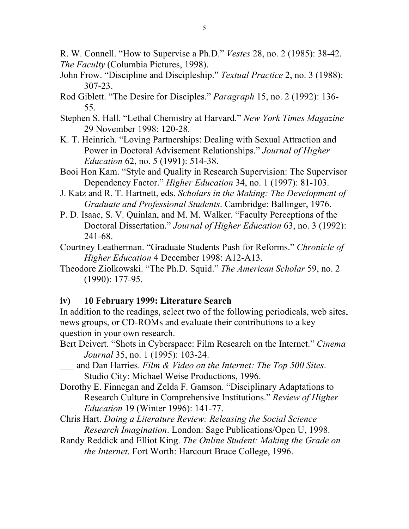R. W. Connell. "How to Supervise a Ph.D." *Vestes* 28, no. 2 (1985): 38-42. *The Faculty* (Columbia Pictures, 1998).

- John Frow. "Discipline and Discipleship." *Textual Practice* 2, no. 3 (1988): 307-23.
- Rod Giblett. "The Desire for Disciples." *Paragraph* 15, no. 2 (1992): 136- 55.
- Stephen S. Hall. "Lethal Chemistry at Harvard." *New York Times Magazine* 29 November 1998: 120-28.
- K. T. Heinrich. "Loving Partnerships: Dealing with Sexual Attraction and Power in Doctoral Advisement Relationships." *Journal of Higher Education* 62, no. 5 (1991): 514-38.
- Booi Hon Kam. "Style and Quality in Research Supervision: The Supervisor Dependency Factor." *Higher Education* 34, no. 1 (1997): 81-103.
- J. Katz and R. T. Hartnett, eds. *Scholars in the Making: The Development of Graduate and Professional Students*. Cambridge: Ballinger, 1976.
- P. D. Isaac, S. V. Quinlan, and M. M. Walker. "Faculty Perceptions of the Doctoral Dissertation." *Journal of Higher Education* 63, no. 3 (1992): 241-68.
- Courtney Leatherman. "Graduate Students Push for Reforms." *Chronicle of Higher Education* 4 December 1998: A12-A13.
- Theodore Ziolkowski. "The Ph.D. Squid." *The American Scholar* 59, no. 2 (1990): 177-95.

## **iv) 10 February 1999: Literature Search**

In addition to the readings, select two of the following periodicals, web sites, news groups, or CD-ROMs and evaluate their contributions to a key question in your own research.

- Bert Deivert. "Shots in Cyberspace: Film Research on the Internet." *Cinema Journal* 35, no. 1 (1995): 103-24.
- \_\_\_ and Dan Harries. *Film & Video on the Internet: The Top 500 Sites*. Studio City: Michael Weise Productions, 1996.
- Dorothy E. Finnegan and Zelda F. Gamson. "Disciplinary Adaptations to Research Culture in Comprehensive Institutions." *Review of Higher Education* 19 (Winter 1996): 141-77.
- Chris Hart. *Doing a Literature Review: Releasing the Social Science Research Imagination*. London: Sage Publications/Open U, 1998.
- Randy Reddick and Elliot King. *The Online Student: Making the Grade on the Internet*. Fort Worth: Harcourt Brace College, 1996.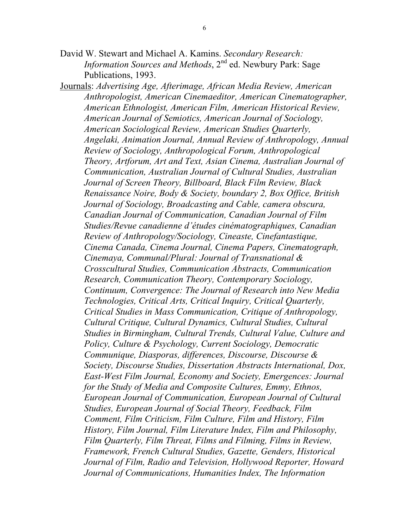- David W. Stewart and Michael A. Kamins. *Secondary Research: Information Sources and Methods*, 2<sup>nd</sup> ed. Newbury Park: Sage Publications, 1993.
- Journals: *Advertising Age, Afterimage, African Media Review, American Anthropologist, American Cinemaeditor, American Cinematographer, American Ethnologist, American Film, American Historical Review, American Journal of Semiotics, American Journal of Sociology, American Sociological Review, American Studies Quarterly, Angelaki, Animation Journal, Annual Review of Anthropology, Annual Review of Sociology, Anthropological Forum, Anthropological Theory, Artforum, Art and Text, Asian Cinema, Australian Journal of Communication, Australian Journal of Cultural Studies, Australian Journal of Screen Theory, Billboard, Black Film Review, Black Renaissance Noire, Body & Society, boundary 2, Box Office, British Journal of Sociology, Broadcasting and Cable, camera obscura, Canadian Journal of Communication, Canadian Journal of Film Studies/Revue canadienne d'études cinématographiques, Canadian Review of Anthropology/Sociology, Cineaste, Cinefantastique, Cinema Canada, Cinema Journal, Cinema Papers, Cinematograph, Cinemaya, Communal/Plural: Journal of Transnational & Crosscultural Studies, Communication Abstracts, Communication Research, Communication Theory, Contemporary Sociology, Continuum, Convergence: The Journal of Research into New Media Technologies, Critical Arts, Critical Inquiry, Critical Quarterly, Critical Studies in Mass Communication, Critique of Anthropology, Cultural Critique, Cultural Dynamics, Cultural Studies, Cultural Studies in Birmingham, Cultural Trends, Cultural Value, Culture and Policy, Culture & Psychology, Current Sociology, Democratic Communique, Diasporas, differences, Discourse, Discourse & Society, Discourse Studies, Dissertation Abstracts International, Dox, East-West Film Journal, Economy and Society, Emergences: Journal for the Study of Media and Composite Cultures, Emmy, Ethnos, European Journal of Communication, European Journal of Cultural Studies, European Journal of Social Theory, Feedback, Film Comment, Film Criticism, Film Culture, Film and History, Film History, Film Journal, Film Literature Index, Film and Philosophy, Film Quarterly, Film Threat, Films and Filming, Films in Review, Framework, French Cultural Studies, Gazette, Genders, Historical Journal of Film, Radio and Television, Hollywood Reporter, Howard Journal of Communications, Humanities Index, The Information*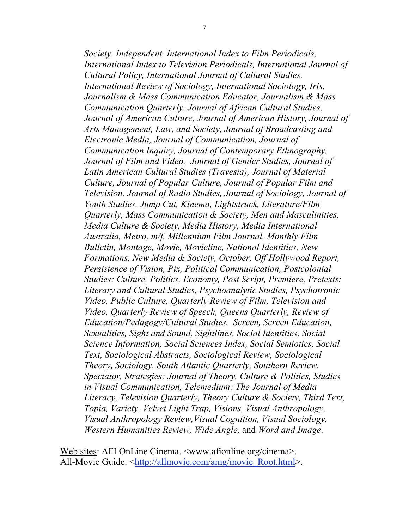*Society, Independent, International Index to Film Periodicals, International Index to Television Periodicals, International Journal of Cultural Policy, International Journal of Cultural Studies, International Review of Sociology, International Sociology, Iris, Journalism & Mass Communication Educator, Journalism & Mass Communication Quarterly, Journal of African Cultural Studies, Journal of American Culture, Journal of American History, Journal of Arts Management, Law, and Society, Journal of Broadcasting and Electronic Media, Journal of Communication, Journal of Communication Inquiry, Journal of Contemporary Ethnography, Journal of Film and Video, Journal of Gender Studies, Journal of Latin American Cultural Studies (Travesia), Journal of Material Culture, Journal of Popular Culture, Journal of Popular Film and Television, Journal of Radio Studies, Journal of Sociology, Journal of Youth Studies, Jump Cut, Kinema, Lightstruck, Literature/Film Quarterly, Mass Communication & Society, Men and Masculinities, Media Culture & Society, Media History, Media International Australia, Metro, m/f, Millennium Film Journal, Monthly Film Bulletin, Montage, Movie, Movieline, National Identities, New Formations, New Media & Society, October, Off Hollywood Report, Persistence of Vision, Pix, Political Communication, Postcolonial Studies: Culture, Politics, Economy, Post Script, Premiere, Pretexts: Literary and Cultural Studies, Psychoanalytic Studies, Psychotronic Video, Public Culture, Quarterly Review of Film, Television and Video, Quarterly Review of Speech, Queens Quarterly, Review of Education/Pedagogy/Cultural Studies, Screen, Screen Education, Sexualities, Sight and Sound, Sightlines, Social Identities, Social Science Information, Social Sciences Index, Social Semiotics, Social Text, Sociological Abstracts, Sociological Review, Sociological Theory, Sociology, South Atlantic Quarterly, Southern Review, Spectator, Strategies: Journal of Theory, Culture & Politics, Studies in Visual Communication, Telemedium: The Journal of Media Literacy, Television Quarterly, Theory Culture & Society, Third Text, Topia, Variety, Velvet Light Trap, Visions, Visual Anthropology, Visual Anthropology Review,Visual Cognition, Visual Sociology, Western Humanities Review, Wide Angle,* and *Word and Image*.

Web sites: AFI OnLine Cinema. <www.afionline.org/cinema>. All-Movie Guide. <http://allmovie.com/amg/movie\_Root.html>.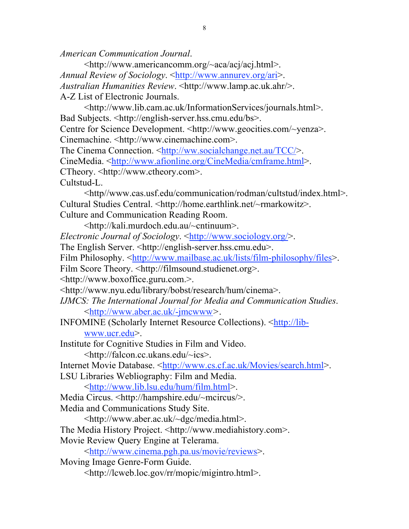*American Communication Journal*.

<http://www.americancomm.org/~aca/acj/acj.html>. *Annual Review of Sociology*. <http://www.annurev.org/ari>. *Australian Humanities Review*. <http://www.lamp.ac.uk.ahr/>. A-Z List of Electronic Journals.

<http://www.lib.cam.ac.uk/InformationServices/journals.html>. Bad Subjects. <http://english-server.hss.cmu.edu/bs>.

Centre for Science Development. <http://www.geocities.com/~yenza>. Cinemachine. <http://www.cinemachine.com>.

The Cinema Connection. <http://ww.socialchange.net.au/TCC/>. CineMedia. <http://www.afionline.org/CineMedia/cmframe.html>. CTheory. <http://www.ctheory.com>. Cultstud-L.

<http//www.cas.usf.edu/communication/rodman/cultstud/index.html>. Cultural Studies Central. <http://home.earthlink.net/~rmarkowitz>. Culture and Communication Reading Room.

<http://kali.murdoch.edu.au/~cntinuum>.

*Electronic Journal of Sociology.* <http://www.sociology.org/>.

The English Server. <http://english-server.hss.cmu.edu>.

Film Philosophy. <http://www.mailbase.ac.uk/lists/film-philosophy/files>.

Film Score Theory. <http://filmsound.studienet.org>.

<http://www.boxoffice.guru.com.>.

<http://www.nyu.edu/library/bobst/research/hum/cinema>.

*IJMCS: The International Journal for Media and Communication Studies*. <http://www.aber.ac.uk/-jmcwww*>*.

INFOMINE (Scholarly Internet Resource Collections). <http://libwww.ucr.edu>.

Institute for Cognitive Studies in Film and Video.

<http://falcon.cc.ukans.edu/~ics>.

Internet Movie Database. <http://www.cs.cf.ac.uk/Movies/search.html>.

LSU Libraries Webliography: Film and Media.

<http://www.lib.lsu.edu/hum/film.html>.

Media Circus. <http://hampshire.edu/~mcircus/>.

Media and Communications Study Site.

<http://www.aber.ac.uk/~dgc/media.html>.

The Media History Project. <http://www.mediahistory.com>.

Movie Review Query Engine at Telerama.

<http://www.cinema.pgh.pa.us/movie/reviews>.

Moving Image Genre-Form Guide.

<http://lcweb.loc.gov/rr/mopic/migintro.html>.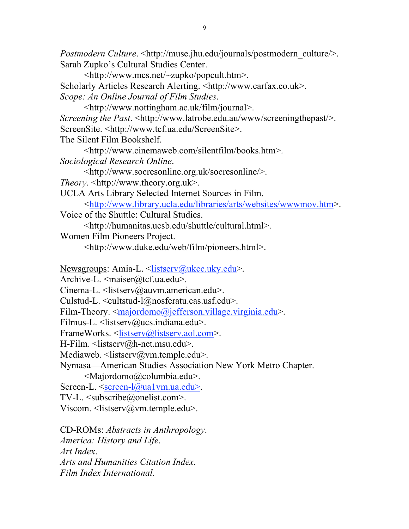*Postmodern Culture.* <http://muse.jhu.edu/journals/postmodern\_culture/>. Sarah Zupko's Cultural Studies Center.

<http://www.mcs.net/~zupko/popcult.htm>.

Scholarly Articles Research Alerting. <http://www.carfax.co.uk>. *Scope: An Online Journal of Film Studies*.

<http://www.nottingham.ac.uk/film/journal>.

*Screening the Past.* <http://www.latrobe.edu.au/www/screeningthepast/>. ScreenSite. <http://www.tcf.ua.edu/ScreenSite>.

The Silent Film Bookshelf.

<http://www.cinemaweb.com/silentfilm/books.htm>. *Sociological Research Online*.

<http://www.socresonline.org.uk/socresonline/>.

*Theory*. <http://www.theory.org.uk>.

UCLA Arts Library Selected Internet Sources in Film.

<http://www.library.ucla.edu/libraries/arts/websites/wwwmov.htm>.

Voice of the Shuttle: Cultural Studies.

<http://humanitas.ucsb.edu/shuttle/cultural.html>.

Women Film Pioneers Project.

<http://www.duke.edu/web/film/pioneers.html>.

Newsgroups: Amia-L. <listserv@ukcc.uky.edu>.

Archive-L. <maiser@tcf.ua.edu>.

Cinema-L. <listserv@auvm.american.edu>.

Culstud-L. <cultstud-l@nosferatu.cas.usf.edu>.

Film-Theory. <majordomo@jefferson.village.virginia.edu>.

Filmus-L.  $\leq$ listserv@ucs.indiana.edu>.

FrameWorks. <listserv@listserv.aol.com>.

H-Film. <listserv@h-net.msu.edu>.

Mediaweb. <listserv@vm.temple.edu>.

Nymasa—American Studies Association New York Metro Chapter.

<Majordomo@columbia.edu>.

Screen-L.  $\leq$ screen-l $\omega$ ual vm.ua.edu>.

TV-L. <subscribe@onelist.com>.

Viscom.  $\langle$ listserv@vm.temple.edu $\rangle$ .

CD-ROMs: *Abstracts in Anthropology*. *America: History and Life*. *Art Index*. *Arts and Humanities Citation Index*. *Film Index International*.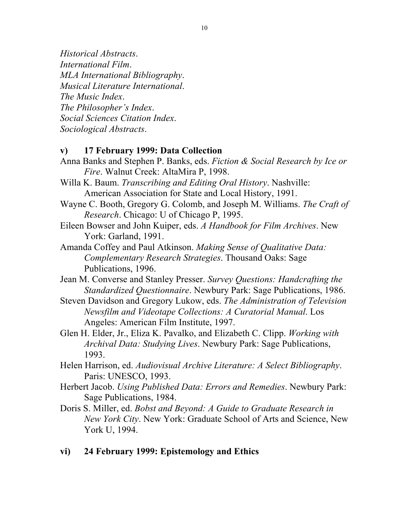*Historical Abstracts*. *International Film*. *MLA International Bibliography*. *Musical Literature International*. *The Music Index*. *The Philosopher's Index*. *Social Sciences Citation Index*. *Sociological Abstracts*.

## **v) 17 February 1999: Data Collection**

- Anna Banks and Stephen P. Banks, eds. *Fiction & Social Research by Ice or Fire*. Walnut Creek: AltaMira P, 1998.
- Willa K. Baum. *Transcribing and Editing Oral History*. Nashville: American Association for State and Local History, 1991.
- Wayne C. Booth, Gregory G. Colomb, and Joseph M. Williams. *The Craft of Research*. Chicago: U of Chicago P, 1995.
- Eileen Bowser and John Kuiper, eds. *A Handbook for Film Archives*. New York: Garland, 1991.
- Amanda Coffey and Paul Atkinson. *Making Sense of Qualitative Data: Complementary Research Strategies*. Thousand Oaks: Sage Publications, 1996.
- Jean M. Converse and Stanley Presser. *Survey Questions: Handcrafting the Standardized Questionnaire*. Newbury Park: Sage Publications, 1986.
- Steven Davidson and Gregory Lukow, eds. *The Administration of Television Newsfilm and Videotape Collections: A Curatorial Manual*. Los Angeles: American Film Institute, 1997.
- Glen H. Elder, Jr., Eliza K. Pavalko, and Elizabeth C. Clipp. *Working with Archival Data: Studying Lives*. Newbury Park: Sage Publications, 1993.
- Helen Harrison, ed. *Audiovisual Archive Literature: A Select Bibliography*. Paris: UNESCO, 1993.
- Herbert Jacob. *Using Published Data: Errors and Remedies*. Newbury Park: Sage Publications, 1984.
- Doris S. Miller, ed. *Bobst and Beyond: A Guide to Graduate Research in New York City*. New York: Graduate School of Arts and Science, New York U, 1994.
- **vi) 24 February 1999: Epistemology and Ethics**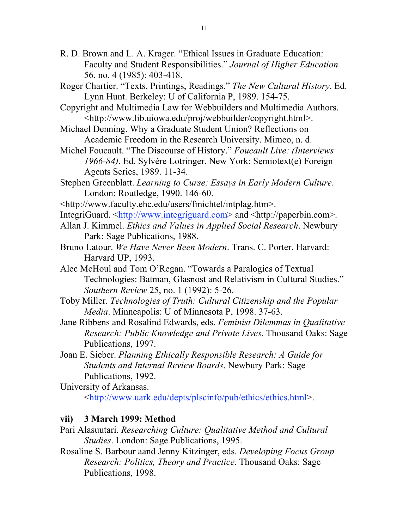- R. D. Brown and L. A. Krager. "Ethical Issues in Graduate Education: Faculty and Student Responsibilities." *Journal of Higher Education* 56, no. 4 (1985): 403-418.
- Roger Chartier. "Texts, Printings, Readings." *The New Cultural History*. Ed. Lynn Hunt. Berkeley: U of California P, 1989. 154-75.
- Copyright and Multimedia Law for Webbuilders and Multimedia Authors. <http://www.lib.uiowa.edu/proj/webbuilder/copyright.html>.
- Michael Denning. Why a Graduate Student Union? Reflections on Academic Freedom in the Research University. Mimeo, n. d.
- Michel Foucault. "The Discourse of History." *Foucault Live: (Interviews 1966-84)*. Ed. Sylvère Lotringer. New York: Semiotext(e) Foreign Agents Series, 1989. 11-34.
- Stephen Greenblatt. *Learning to Curse: Essays in Early Modern Culture*. London: Routledge, 1990. 146-60.
- <http://www.faculty.ehc.edu/users/fmichtel/intplag.htm>.
- IntegriGuard. <http://www.integriguard.com> and <http://paperbin.com>.
- Allan J. Kimmel. *Ethics and Values in Applied Social Research*. Newbury Park: Sage Publications, 1988.
- Bruno Latour. *We Have Never Been Modern*. Trans. C. Porter. Harvard: Harvard UP, 1993.
- Alec McHoul and Tom O'Regan. "Towards a Paralogics of Textual Technologies: Batman, Glasnost and Relativism in Cultural Studies." *Southern Review* 25, no. 1 (1992): 5-26.
- Toby Miller. *Technologies of Truth: Cultural Citizenship and the Popular Media*. Minneapolis: U of Minnesota P, 1998. 37-63.
- Jane Ribbens and Rosalind Edwards, eds. *Feminist Dilemmas in Qualitative Research: Public Knowledge and Private Lives*. Thousand Oaks: Sage Publications, 1997.
- Joan E. Sieber. *Planning Ethically Responsible Research: A Guide for Students and Internal Review Boards*. Newbury Park: Sage Publications, 1992.

University of Arkansas. <http://www.uark.edu/depts/plscinfo/pub/ethics/ethics.html>.

#### **vii) 3 March 1999: Method**

- Pari Alasuutari. *Researching Culture: Qualitative Method and Cultural Studies*. London: Sage Publications, 1995.
- Rosaline S. Barbour aand Jenny Kitzinger, eds. *Developing Focus Group Research: Politics, Theory and Practice*. Thousand Oaks: Sage Publications, 1998.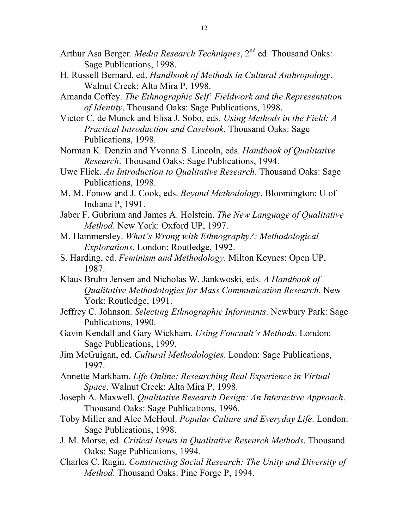- Arthur Asa Berger. *Media Research Techniques*, 2<sup>nd</sup> ed. Thousand Oaks: Sage Publications, 1998.
- H. Russell Bernard, ed. *Handbook of Methods in Cultural Anthropology*. Walnut Creek: Alta Mira P, 1998.
- Amanda Coffey. *The Ethnographic Self: Fieldwork and the Representation of Identity*. Thousand Oaks: Sage Publications, 1998.
- Victor C. de Munck and Elisa J. Sobo, eds. *Using Methods in the Field: A Practical Introduction and Casebook*. Thousand Oaks: Sage Publications, 1998.
- Norman K. Denzin and Yvonna S. Lincoln, eds. *Handbook of Qualitative Research*. Thousand Oaks: Sage Publications, 1994.
- Uwe Flick. *An Introduction to Qualitative Research*. Thousand Oaks: Sage Publications, 1998.
- M. M. Fonow and J. Cook, eds. *Beyond Methodology*. Bloomington: U of Indiana P, 1991.
- Jaber F. Gubrium and James A. Holstein. *The New Language of Qualitative Method*. New York: Oxford UP, 1997.
- M. Hammersley. *What's Wrong with Ethnography?: Methodological Explorations*. London: Routledge, 1992.
- S. Harding, ed. *Feminism and Methodology*. Milton Keynes: Open UP, 1987.
- Klaus Bruhn Jensen and Nicholas W. Jankwoski, eds. *A Handbook of Qualitative Methodologies for Mass Communication Research*. New York: Routledge, 1991.
- Jeffrey C. Johnson. *Selecting Ethnographic Informants*. Newbury Park: Sage Publications, 1990.
- Gavin Kendall and Gary Wickham. *Using Foucault's Methods*. London: Sage Publications, 1999.
- Jim McGuigan, ed. *Cultural Methodologies*. London: Sage Publications, 1997.
- Annette Markham. *Life Online: Researching Real Experience in Virtual Space*. Walnut Creek: Alta Mira P, 1998.
- Joseph A. Maxwell. *Qualitative Research Design: An Interactive Approach*. Thousand Oaks: Sage Publications, 1996.
- Toby Miller and Alec McHoul. *Popular Culture and Everyday Life*. London: Sage Publications, 1998.
- J. M. Morse, ed. *Critical Issues in Qualitative Research Methods*. Thousand Oaks: Sage Publications, 1994.
- Charles C. Ragin. *Constructing Social Research: The Unity and Diversity of Method*. Thousand Oaks: Pine Forge P, 1994.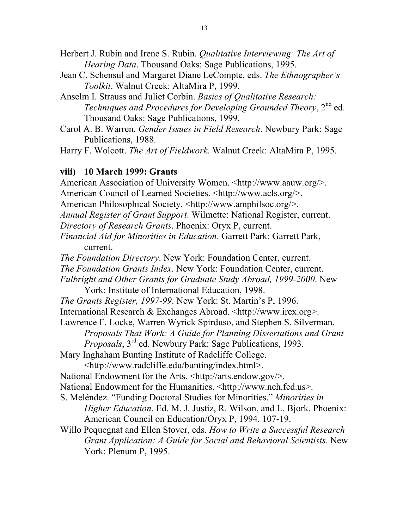Herbert J. Rubin and Irene S. Rubin. *Qualitative Interviewing: The Art of Hearing Data*. Thousand Oaks: Sage Publications, 1995.

- Jean C. Schensul and Margaret Diane LeCompte, eds. *The Ethnographer's Toolkit*. Walnut Creek: AltaMira P, 1999.
- Anselm I. Strauss and Juliet Corbin. *Basics of Qualitative Research: Techniques and Procedures for Developing Grounded Theory*, 2<sup>nd</sup> ed. Thousand Oaks: Sage Publications, 1999.
- Carol A. B. Warren. *Gender Issues in Field Research*. Newbury Park: Sage Publications, 1988.

Harry F. Wolcott. *The Art of Fieldwork*. Walnut Creek: AltaMira P, 1995.

#### **viii) 10 March 1999: Grants**

York: Plenum P, 1995.

American Association of University Women. <http://www.aauw.org/>. American Council of Learned Societies. <http://www.acls.org/>. American Philosophical Society. <http://www.amphilsoc.org/>. *Annual Register of Grant Support*. Wilmette: National Register, current. *Directory of Research Grants*. Phoenix: Oryx P, current. *Financial Aid for Minorities in Education*. Garrett Park: Garrett Park, current. *The Foundation Directory*. New York: Foundation Center, current. *The Foundation Grants Index*. New York: Foundation Center, current. *Fulbright and Other Grants for Graduate Study Abroad, 1999-2000*. New York: Institute of International Education, 1998. *The Grants Register, 1997-99*. New York: St. Martin's P, 1996. International Research & Exchanges Abroad. <http://www.irex.org>. Lawrence F. Locke, Warren Wyrick Spirduso, and Stephen S. Silverman. *Proposals That Work: A Guide for Planning Dissertations and Grant Proposals*, 3rd ed. Newbury Park: Sage Publications, 1993. Mary Inghaham Bunting Institute of Radcliffe College. <http://www.radcliffe.edu/bunting/index.html>. National Endowment for the Arts. <http://arts.endow.gov/>. National Endowment for the Humanities. <http://www.neh.fed.us>. S. Meléndez. "Funding Doctoral Studies for Minorities." *Minorities in Higher Education*. Ed. M. J. Justiz, R. Wilson, and L. Bjork. Phoenix: American Council on Education/Oryx P, 1994. 107-19. Willo Pequegnat and Ellen Stover, eds. *How to Write a Successful Research Grant Application: A Guide for Social and Behavioral Scientists*. New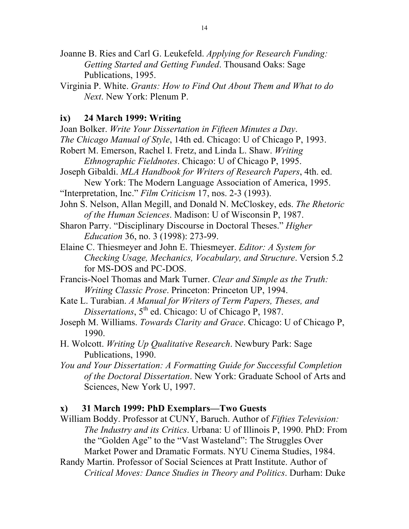- Joanne B. Ries and Carl G. Leukefeld. *Applying for Research Funding: Getting Started and Getting Funded*. Thousand Oaks: Sage Publications, 1995.
- Virginia P. White. *Grants: How to Find Out About Them and What to do Next*. New York: Plenum P.

## **ix) 24 March 1999: Writing**

- Joan Bolker. *Write Your Dissertation in Fifteen Minutes a Day*. *The Chicago Manual of Style*, 14th ed. Chicago: U of Chicago P, 1993. Robert M. Emerson, Rachel I. Fretz, and Linda L. Shaw. *Writing Ethnographic Fieldnotes*. Chicago: U of Chicago P, 1995. Joseph Gibaldi. *MLA Handbook for Writers of Research Papers*, 4th. ed. New York: The Modern Language Association of America, 1995. "Interpretation, Inc." *Film Criticism* 17, nos. 2-3 (1993). John S. Nelson, Allan Megill, and Donald N. McCloskey, eds. *The Rhetoric of the Human Sciences*. Madison: U of Wisconsin P, 1987. Sharon Parry. "Disciplinary Discourse in Doctoral Theses." *Higher Education* 36, no. 3 (1998): 273-99. Elaine C. Thiesmeyer and John E. Thiesmeyer. *Editor: A System for Checking Usage, Mechanics, Vocabulary, and Structure*. Version 5.2 for MS-DOS and PC-DOS.
- Francis-Noel Thomas and Mark Turner. *Clear and Simple as the Truth: Writing Classic Prose*. Princeton: Princeton UP, 1994.
- Kate L. Turabian. *A Manual for Writers of Term Papers, Theses, and Dissertations*, 5<sup>th</sup> ed. Chicago: U of Chicago P, 1987.
- Joseph M. Williams. *Towards Clarity and Grace*. Chicago: U of Chicago P, 1990.
- H. Wolcott. *Writing Up Qualitative Research*. Newbury Park: Sage Publications, 1990.
- *You and Your Dissertation: A Formatting Guide for Successful Completion of the Doctoral Dissertation*. New York: Graduate School of Arts and Sciences, New York U, 1997.

## **x) 31 March 1999: PhD Exemplars—Two Guests**

- William Boddy. Professor at CUNY, Baruch. Author of *Fifties Television: The Industry and its Critics*. Urbana: U of Illinois P, 1990. PhD: From the "Golden Age" to the "Vast Wasteland": The Struggles Over Market Power and Dramatic Formats. NYU Cinema Studies, 1984.
- Randy Martin. Professor of Social Sciences at Pratt Institute. Author of *Critical Moves: Dance Studies in Theory and Politics*. Durham: Duke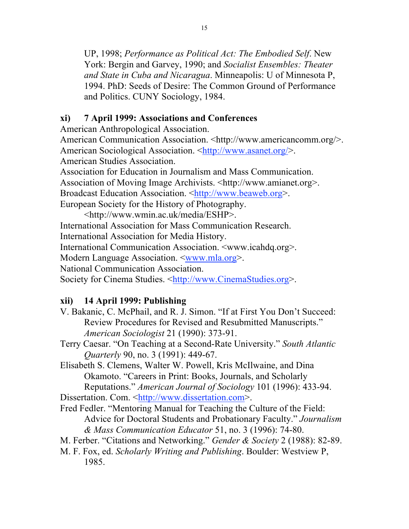UP, 1998; *Performance as Political Act: The Embodied Self*. New York: Bergin and Garvey, 1990; and *Socialist Ensembles: Theater and State in Cuba and Nicaragua*. Minneapolis: U of Minnesota P, 1994. PhD: Seeds of Desire: The Common Ground of Performance and Politics. CUNY Sociology, 1984.

# **xi) 7 April 1999: Associations and Conferences**

American Anthropological Association.

American Communication Association. <http://www.americancomm.org/>. American Sociological Association. <http://www.asanet.org/>. American Studies Association.

Association for Education in Journalism and Mass Communication.

Association of Moving Image Archivists. <http://www.amianet.org>.

Broadcast Education Association. <http://www.beaweb.org>.

European Society for the History of Photography.

<http://www.wmin.ac.uk/media/ESHP>.

International Association for Mass Communication Research.

International Association for Media History.

International Communication Association. <www.icahdq.org>.

Modern Language Association. <www.mla.org>.

National Communication Association.

Society for Cinema Studies. <http://www.CinemaStudies.org>.

# **xii) 14 April 1999: Publishing**

- V. Bakanic, C. McPhail, and R. J. Simon. "If at First You Don't Succeed: Review Procedures for Revised and Resubmitted Manuscripts." *American Sociologist* 21 (1990): 373-91.
- Terry Caesar. "On Teaching at a Second-Rate University." *South Atlantic Quarterly* 90, no. 3 (1991): 449-67.

Elisabeth S. Clemens, Walter W. Powell, Kris McIlwaine, and Dina Okamoto. "Careers in Print: Books, Journals, and Scholarly Reputations." *American Journal of Sociology* 101 (1996): 433-94.

Dissertation. Com. <http://www.dissertation.com>.

Fred Fedler. "Mentoring Manual for Teaching the Culture of the Field: Advice for Doctoral Students and Probationary Faculty." *Journalism & Mass Communication Educator* 51, no. 3 (1996): 74-80.

- M. Ferber. "Citations and Networking." *Gender & Society* 2 (1988): 82-89.
- M. F. Fox, ed. *Scholarly Writing and Publishing*. Boulder: Westview P, 1985.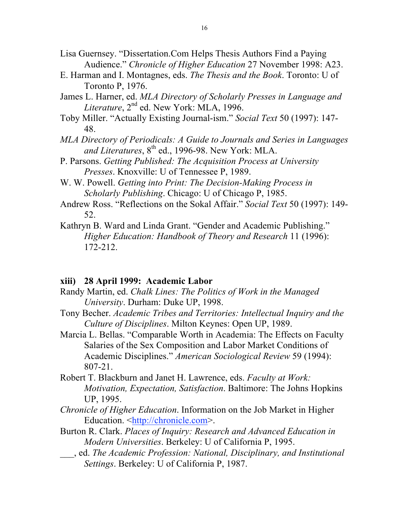- Lisa Guernsey. "Dissertation.Com Helps Thesis Authors Find a Paying Audience." *Chronicle of Higher Education* 27 November 1998: A23.
- E. Harman and I. Montagnes, eds. *The Thesis and the Book*. Toronto: U of Toronto P, 1976.
- James L. Harner, ed. *MLA Directory of Scholarly Presses in Language and*  Literature, 2<sup>nd</sup> ed. New York: MLA, 1996.
- Toby Miller. "Actually Existing Journal-ism." *Social Text* 50 (1997): 147- 48.
- *MLA Directory of Periodicals: A Guide to Journals and Series in Languages*  and Literatures,  $8<sup>th</sup>$  ed., 1996-98. New York: MLA.
- P. Parsons. *Getting Published: The Acquisition Process at University Presses*. Knoxville: U of Tennessee P, 1989.
- W. W. Powell. *Getting into Print: The Decision-Making Process in Scholarly Publishing*. Chicago: U of Chicago P, 1985.
- Andrew Ross. "Reflections on the Sokal Affair." *Social Text* 50 (1997): 149- 52.
- Kathryn B. Ward and Linda Grant. "Gender and Academic Publishing." *Higher Education: Handbook of Theory and Research* 11 (1996): 172-212.

# **xiii) 28 April 1999: Academic Labor**

- Randy Martin, ed. *Chalk Lines: The Politics of Work in the Managed University*. Durham: Duke UP, 1998.
- Tony Becher. *Academic Tribes and Territories: Intellectual Inquiry and the Culture of Disciplines*. Milton Keynes: Open UP, 1989.
- Marcia L. Bellas. "Comparable Worth in Academia: The Effects on Faculty Salaries of the Sex Composition and Labor Market Conditions of Academic Disciplines." *American Sociological Review* 59 (1994): 807-21.
- Robert T. Blackburn and Janet H. Lawrence, eds. *Faculty at Work: Motivation, Expectation, Satisfaction*. Baltimore: The Johns Hopkins UP, 1995.
- *Chronicle of Higher Education*. Information on the Job Market in Higher Education. <http://chronicle.com>.
- Burton R. Clark. *Places of Inquiry: Research and Advanced Education in Modern Universities*. Berkeley: U of California P, 1995.
- \_\_\_, ed. *The Academic Profession: National, Disciplinary, and Institutional Settings*. Berkeley: U of California P, 1987.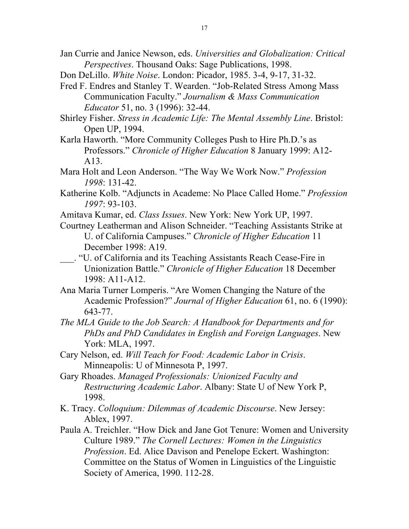- Jan Currie and Janice Newson, eds. *Universities and Globalization: Critical Perspectives*. Thousand Oaks: Sage Publications, 1998.
- Don DeLillo. *White Noise*. London: Picador, 1985. 3-4, 9-17, 31-32.
- Fred F. Endres and Stanley T. Wearden. "Job-Related Stress Among Mass Communication Faculty." *Journalism & Mass Communication Educator* 51, no. 3 (1996): 32-44.
- Shirley Fisher. *Stress in Academic Life: The Mental Assembly Line*. Bristol: Open UP, 1994.
- Karla Haworth. "More Community Colleges Push to Hire Ph.D.'s as Professors." *Chronicle of Higher Education* 8 January 1999: A12- A13.
- Mara Holt and Leon Anderson. "The Way We Work Now." *Profession 1998*: 131-42.
- Katherine Kolb. "Adjuncts in Academe: No Place Called Home." *Profession 1997*: 93-103.
- Amitava Kumar, ed. *Class Issues*. New York: New York UP, 1997.
- Courtney Leatherman and Alison Schneider. "Teaching Assistants Strike at U. of California Campuses." *Chronicle of Higher Education* 11 December 1998: A19.
- \_\_\_. "U. of California and its Teaching Assistants Reach Cease-Fire in Unionization Battle." *Chronicle of Higher Education* 18 December 1998: A11-A12.
- Ana Maria Turner Lomperis. "Are Women Changing the Nature of the Academic Profession?" *Journal of Higher Education* 61, no. 6 (1990): 643-77.
- *The MLA Guide to the Job Search: A Handbook for Departments and for PhDs and PhD Candidates in English and Foreign Languages*. New York: MLA, 1997.
- Cary Nelson, ed. *Will Teach for Food: Academic Labor in Crisis*. Minneapolis: U of Minnesota P, 1997.
- Gary Rhoades. *Managed Professionals: Unionized Faculty and Restructuring Academic Labor*. Albany: State U of New York P, 1998.
- K. Tracy. *Colloquium: Dilemmas of Academic Discourse*. New Jersey: Ablex, 1997.
- Paula A. Treichler. "How Dick and Jane Got Tenure: Women and University Culture 1989." *The Cornell Lectures: Women in the Linguistics Profession*. Ed. Alice Davison and Penelope Eckert. Washington: Committee on the Status of Women in Linguistics of the Linguistic Society of America, 1990. 112-28.